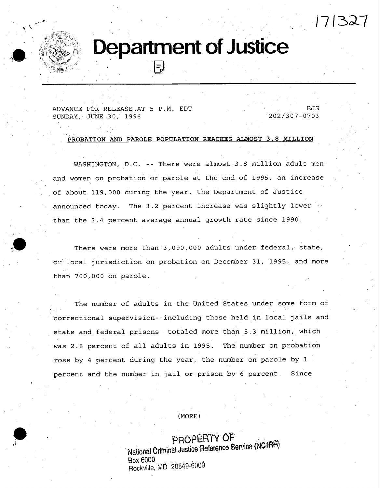# **Department of Justice**

• . . ,

ADVANCE FOR RELEASE AT 5 P.M. EDT SUNDAY, JUNE 30, 1996

.J, •

" .-<"~.-~ ;~z,z:-< ,  $10^{\circ}$  . See  $\mathbb{R}^3$  .

> BJS 202/307-0703

'% **t7 13A7** 

**PROBATION AND PAROLE POPULATION REACHES ALMOST 3.8 MILLION** 

**WASHINGTON, D.C.** -- There were almost 3.8 million adult men and women on probation or parole at the end of 1995, an increase of about 119,000 during the year, the Department of Justice announced today. The 3.2 percent increase was slightly lower  $\sim$ than the 3.4 percent average annual growth rate since 1990.

There were more than 3,090,000 adults under federal, state, or local jurisdiction on probation on December 31, 1995, and more than 700,000 on parole.

The number of adults in the United States under some form of correctional supervision--including those held in local jails and state and federal prisons--totaled more than 5.3 million, which was 2.8 percent of all adults in 1995. The number on probation rose by 4 percent during the year, the number on parole by 1 percent and the number in jail or prison by 6 percent. Since

**• , (MORE)** 

PROPERTY OF National Criminal Justice Reference Service (NCJR<sup>®)</sup> **Box 6000 Rockville, MD 20849-6000**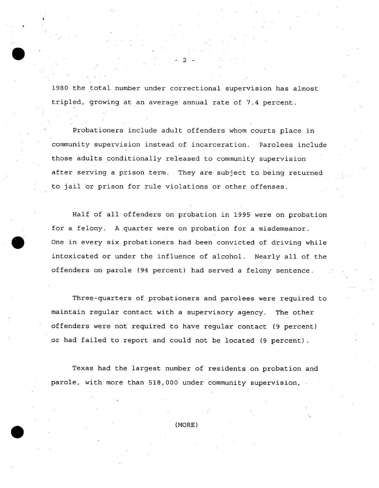1980 the total number under correctional supervision has almost tripled, growing at an average annual rate of 7.4 percent.

**- 2** 

Probationers include adult offenders whom courts place in community supervision instead of incarceration. Parolees include those adults conditionally released to community supervision after serving a prison term. They are subject to being returned to jail or prison for rule violations or other offenses.

Half of all offenders on probation in 1995 were on probation for a felony. A quarter were on probation for a misdemeanor. One in every six probationers had been convicted of driving while intoxicated or under the influence of alcohol. Nearly all of the offenders on parole (94 percent) had served a felony sentence.

Three-quarters of probationers and parolees were required to maintain regular contact with a supervisory agency. The other offenders were not required to have regular contact (9 percent) or had failed to report and could not be located (9 percent).

Texas had the largest number of residents on probation and parole, with more than 518,000 under Community supervision,

**(MORE)**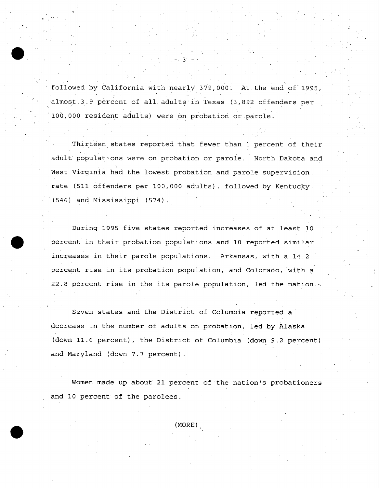followed by California with nearly 379,000. At the end of 1995, almost 3.9 percent of all adults in Texas (3,892 offenders per i00,000 resident adults) were on probation or parole.

**- 3 -** 

**O** 

 $\bullet$ 

Thirteen states reported that fewer than 1 percent of their adult populations were on probation or paroie. North Dakota and West Virginia had the lowest probation and parole supervision. rate (511 offenders per i00,000 adults), followed by Kentucky (546) and Mississippi (574).

During 1995 five states reported increases of at least I0 percent in their probation populations and i0 reported similar increases in their parole populations. Arkansas, with a 14.2 percent rise in its probation population, and Colorado, with a 22.8 percent rise in the its parole population, led the nation.~.

Seven states and the, District of Columbia reported a decrease in the number of adults on probation, led by Alaska (down 11.6 percent), the District of Columbia (down 9.2 percent) and Maryland (down 7.7 percent).

Women made up about 21 percent of the nation's probationers and 10 percent of the parolees.

(MORE)~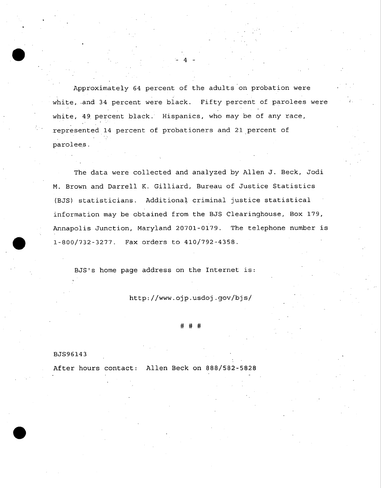Approximately 64 percent of the adults'on probation were white, and 34 percent were black. Fifty percent of parolees were white, 49 percent black. Hispanics, who may be of any race, represented 14 percent of probationers and 21 percent of parolees.

- **4 -** 

The data were collected and analyzed by Allen J. Beck, Jodi M. Brown and Darrell K. Gilliard, Bureau of Justice Statistics (BJS) statisticians. Additional criminal justice statistical information may be obtained from the BJS Clearinghouse, Box 179, Annapolis Junction, Maryland 20701-0i79. The telephone number is 1-800/732-3277. Fax orders to 410/792-4358.

BJS's home page address on the Internet is:

*http://www.ojp.usdoj.gov/bjs/* 

## ###

## BJS96143

After hours contact: Allen Beck on 888/582-5828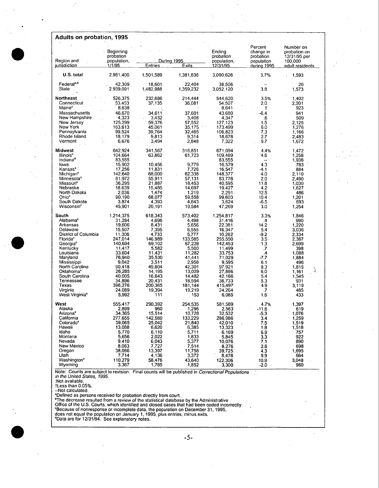| Percent<br>Number on<br>Beginning<br>Ending<br>change in<br>probation on<br>probation<br>probation<br>probation<br>12/31/95 per<br>Region and<br>population,<br>During 1995<br>population,<br>population<br>100,000<br>jurisdiction<br>1/1/95<br><b>Entries</b><br><u>Exits</u><br><u>12/31/95</u><br><u>during 1995</u><br>adult residents<br>2,981,400<br>3,090,626<br>U.S. total<br>1,501,589<br>1,381,636<br>3.7%<br>1,593<br>Federal <sup>a,b</sup><br>42,309<br>22,404<br>20<br>18,601<br>38,506<br>State<br>2,939,091<br>1,482,988<br>1,359,232<br>3,052,120<br>3.8<br>1,573<br>Northeast<br>526,375<br>232,686<br>214,444<br>544,620<br>3.5%<br>1,402<br>Connecticut<br>53,453<br>36,081<br>2.0<br>2,201<br>37,135<br>54,507<br>Maine <sup>e</sup><br>8,638<br>923<br>8,641<br>t<br>46,670<br>Massachusetts<br>34,611<br>-6.4<br>941<br>37,601<br>43,680<br>New Hampshire<br>4,323<br>3,432<br>3.408<br>4,347<br>.6<br>509<br>1.5<br>New Jersey<br>125,299<br>59,376<br>57,552<br>127,123<br>2,125<br>New York<br>163,613<br>45,061<br>35,175<br>173,499<br>6.0<br>1,276<br>Pennsylvania<br>99,524<br>39,764<br>32,465<br>106,823<br>7.3<br>1,166<br>Rhode Island<br>18,179<br>9,813<br>9,314<br>18,678<br>2.7<br>2.483<br>Vermont<br>6,676<br>3,494<br>2,848<br>7,322<br>9.7<br>1.672<br>Midwest<br>642,924<br>341,567<br>316,851<br>671.094<br>4.4%<br>1,472<br><b>Illinois<sup>e</sup></b><br>104,664<br>63.862<br>109,489<br>1,258<br>61,723<br>4.6<br>Indiana <sup>s</sup><br>83.555<br>83,555<br>1,936<br>--<br>15,902<br>10,456<br>4.3<br>lowa<br>9.779<br>16,579<br>783<br>17,256<br>11,831<br>7,726<br>16,547<br>Kansas <sup>e</sup><br>884<br>-4.1<br>Michigan <sup>e</sup><br>142,640<br>68,000<br>62,338<br>148,377<br>4.0<br>2,110<br>81,972<br>Minnesota <sup>c</sup><br>55,911<br>57,131<br>83,778<br>2.0<br>2,490<br>36,295<br>21,887<br>18.453<br>Missouri <sup>c</sup><br>40,595<br>11.8<br>1,030<br>18,639<br>15,485<br>14,697<br>19,427<br>1.627<br>Nebraska<br>4.2<br>2.036<br>1,474<br>2,291<br>12.5<br>North Dakota<br>1.219<br>486<br>Ohio <sup>s</sup><br>90,190<br>68,077<br>1,201<br>59.558<br>99.603<br>10.4<br>South Dakota<br>3,874<br>4,393<br>4,643<br>693<br>3,624<br>$-6.5$<br>Wisconsin <sup>e</sup><br>45.901<br>20,191<br>19,584<br>47,269<br>3.0<br>1,254<br>South<br>1,214,375<br>618,343<br>573,402<br>1.254,817<br>3.3%<br>1,846<br>Alabama <sup>c</sup><br>31,284<br>4,696<br>4,498<br>990<br>31,416<br>4.<br>19,606<br>8,431<br>5,656<br>22,381<br>14.2<br>1,220<br>Arkansas<br>15,507<br>7,395<br>16,347<br>5.4<br>3.036<br>Delaware<br>6,555<br>District of Columbia<br>11,306<br>4,733<br>10,262<br>$-9.2$<br>2,334<br>5,777<br>Florida <sup>e</sup><br>247,014<br>146,989<br>133,585<br>255,550<br>3.5<br>2,367<br>Georgia <sup>e</sup><br>140,694<br>69,102<br>67,228<br>142.453<br>1.3<br>2,699<br>Kentucky<br>11,417<br>5.582<br>5,500<br>.7<br>11,499<br>398<br>Louisiana<br>33.604<br>11.431<br>11,282<br>33,753<br>1,088<br>4<br>Maryland<br>76,940<br>35,530<br>41,441<br>71,029<br>-7.7<br>1.884<br>9,042<br>3,511<br>2,958<br>9.595<br>496<br>Mississippi<br>6.1<br>North Carolina<br>90,418<br>49,804<br>42,301<br>97,921<br>8.3<br>1,815<br>7<br>Oklahoma <sup>e</sup><br>26,285<br>14,195<br>13,029<br>27.866<br>6.0<br>1,161<br>South Carolina<br>40,005<br>16,643<br>14,482<br>42.166<br>1.545<br>5.4<br>34,896<br>5.3<br>20,431<br>18,594<br>36.733<br>931<br>Tennessee<br>Texas<br>396,276<br>200,365<br>181,144<br>415,497<br>4.9<br>3.119<br>Virginia<br>24,089<br>19,394<br>19,219<br>24.264<br>.7<br>485<br>5,992<br>1.6<br>West Virginia <sup>c</sup><br>111<br>153<br>6,085<br>433<br>West<br>555,417<br>290.392<br>254.535<br>581.589<br>4.7%<br>1,397<br>2.899<br>960<br>1.296<br>Alaska<br>2.563<br>$-11.6$<br>619<br>Arizona <sup>c</sup><br>34,365<br>15,514.<br>10,728<br>32,532<br>$-5.3$<br>1,076<br>California<br>277,655<br>142,560<br>1,259<br>133,229<br>286.986<br>3.4<br>Colorado <sup>e</sup><br>39.065<br>25,042<br>21,840<br>42.010<br>7.5<br>1,519<br>Hawaii<br>13,088<br>6,620<br>6,385<br>1,518<br>13,323<br>1.8<br>Idaho<br>5,770<br>6,110<br>5,711<br>757<br>6,169<br>6.9<br>Montana<br>5,656<br>2,022<br>1,833<br>5.845<br>922<br>3.3<br>Nevada<br>9,410<br>6,043<br>5,377<br>890<br>10,076<br>7.1<br>New Mexico<br>8,063<br>7,727<br>7,514<br>698<br>8,276<br>2.6<br>Oregon<br>38,086<br>13,397<br>1,695<br>11,758<br>39,725<br>4.3<br>Utah<br>7,714<br>4,136<br>3,372<br>664<br>8,478<br>9.9<br>Washington <sup>e</sup><br>110,279<br>58,476<br>43,640<br>122,306<br>3,048<br>10.9<br>Wyoming<br>3,367<br>1,785<br>960<br>1,852<br>$-2.0$<br>3,300<br>Note: Counts are subject to revision. Final counts will be published in Correctional Populations<br>in the United States, 1995.<br>:Not available.<br>tLess than 0.05%.<br>--Not calculated.<br>"Defined as persons received for probation directly from court.<br>"The decrease resulted from a review of the statistical database by the Administrative<br>Office of the U.S. Courts, which identified and closed cases that had been coded incorrectly. | Adults on probation, 1995 |  |  |  |
|------------------------------------------------------------------------------------------------------------------------------------------------------------------------------------------------------------------------------------------------------------------------------------------------------------------------------------------------------------------------------------------------------------------------------------------------------------------------------------------------------------------------------------------------------------------------------------------------------------------------------------------------------------------------------------------------------------------------------------------------------------------------------------------------------------------------------------------------------------------------------------------------------------------------------------------------------------------------------------------------------------------------------------------------------------------------------------------------------------------------------------------------------------------------------------------------------------------------------------------------------------------------------------------------------------------------------------------------------------------------------------------------------------------------------------------------------------------------------------------------------------------------------------------------------------------------------------------------------------------------------------------------------------------------------------------------------------------------------------------------------------------------------------------------------------------------------------------------------------------------------------------------------------------------------------------------------------------------------------------------------------------------------------------------------------------------------------------------------------------------------------------------------------------------------------------------------------------------------------------------------------------------------------------------------------------------------------------------------------------------------------------------------------------------------------------------------------------------------------------------------------------------------------------------------------------------------------------------------------------------------------------------------------------------------------------------------------------------------------------------------------------------------------------------------------------------------------------------------------------------------------------------------------------------------------------------------------------------------------------------------------------------------------------------------------------------------------------------------------------------------------------------------------------------------------------------------------------------------------------------------------------------------------------------------------------------------------------------------------------------------------------------------------------------------------------------------------------------------------------------------------------------------------------------------------------------------------------------------------------------------------------------------------------------------------------------------------------------------------------------------------------------------------------------------------------------------------------------------------------------------------------------------------------------------------------------------------------------------------------------------------------------------------------------------------------------------------------------------------------------------------------------------------------------------------------------------------------------------------------------------------------------------------------------------------------------------------------------------------------------------------------------------------------------------------------------------------------------------------------------------------------------------------------------------------------------------------------------------------------------------------------------------------------------------------------------------------------------------------------------------------------------------------------------------------------------------------------------------------------------------------------------------------------------------------------------------------------------------------------------------------------------------------------------------------------------------------------------------------------------|---------------------------|--|--|--|
|                                                                                                                                                                                                                                                                                                                                                                                                                                                                                                                                                                                                                                                                                                                                                                                                                                                                                                                                                                                                                                                                                                                                                                                                                                                                                                                                                                                                                                                                                                                                                                                                                                                                                                                                                                                                                                                                                                                                                                                                                                                                                                                                                                                                                                                                                                                                                                                                                                                                                                                                                                                                                                                                                                                                                                                                                                                                                                                                                                                                                                                                                                                                                                                                                                                                                                                                                                                                                                                                                                                                                                                                                                                                                                                                                                                                                                                                                                                                                                                                                                                                                                                                                                                                                                                                                                                                                                                                                                                                                                                                                                                                                                                                                                                                                                                                                                                                                                                                                                                                                                                                                                                        |                           |  |  |  |
|                                                                                                                                                                                                                                                                                                                                                                                                                                                                                                                                                                                                                                                                                                                                                                                                                                                                                                                                                                                                                                                                                                                                                                                                                                                                                                                                                                                                                                                                                                                                                                                                                                                                                                                                                                                                                                                                                                                                                                                                                                                                                                                                                                                                                                                                                                                                                                                                                                                                                                                                                                                                                                                                                                                                                                                                                                                                                                                                                                                                                                                                                                                                                                                                                                                                                                                                                                                                                                                                                                                                                                                                                                                                                                                                                                                                                                                                                                                                                                                                                                                                                                                                                                                                                                                                                                                                                                                                                                                                                                                                                                                                                                                                                                                                                                                                                                                                                                                                                                                                                                                                                                                        |                           |  |  |  |
|                                                                                                                                                                                                                                                                                                                                                                                                                                                                                                                                                                                                                                                                                                                                                                                                                                                                                                                                                                                                                                                                                                                                                                                                                                                                                                                                                                                                                                                                                                                                                                                                                                                                                                                                                                                                                                                                                                                                                                                                                                                                                                                                                                                                                                                                                                                                                                                                                                                                                                                                                                                                                                                                                                                                                                                                                                                                                                                                                                                                                                                                                                                                                                                                                                                                                                                                                                                                                                                                                                                                                                                                                                                                                                                                                                                                                                                                                                                                                                                                                                                                                                                                                                                                                                                                                                                                                                                                                                                                                                                                                                                                                                                                                                                                                                                                                                                                                                                                                                                                                                                                                                                        |                           |  |  |  |
|                                                                                                                                                                                                                                                                                                                                                                                                                                                                                                                                                                                                                                                                                                                                                                                                                                                                                                                                                                                                                                                                                                                                                                                                                                                                                                                                                                                                                                                                                                                                                                                                                                                                                                                                                                                                                                                                                                                                                                                                                                                                                                                                                                                                                                                                                                                                                                                                                                                                                                                                                                                                                                                                                                                                                                                                                                                                                                                                                                                                                                                                                                                                                                                                                                                                                                                                                                                                                                                                                                                                                                                                                                                                                                                                                                                                                                                                                                                                                                                                                                                                                                                                                                                                                                                                                                                                                                                                                                                                                                                                                                                                                                                                                                                                                                                                                                                                                                                                                                                                                                                                                                                        |                           |  |  |  |
|                                                                                                                                                                                                                                                                                                                                                                                                                                                                                                                                                                                                                                                                                                                                                                                                                                                                                                                                                                                                                                                                                                                                                                                                                                                                                                                                                                                                                                                                                                                                                                                                                                                                                                                                                                                                                                                                                                                                                                                                                                                                                                                                                                                                                                                                                                                                                                                                                                                                                                                                                                                                                                                                                                                                                                                                                                                                                                                                                                                                                                                                                                                                                                                                                                                                                                                                                                                                                                                                                                                                                                                                                                                                                                                                                                                                                                                                                                                                                                                                                                                                                                                                                                                                                                                                                                                                                                                                                                                                                                                                                                                                                                                                                                                                                                                                                                                                                                                                                                                                                                                                                                                        |                           |  |  |  |
|                                                                                                                                                                                                                                                                                                                                                                                                                                                                                                                                                                                                                                                                                                                                                                                                                                                                                                                                                                                                                                                                                                                                                                                                                                                                                                                                                                                                                                                                                                                                                                                                                                                                                                                                                                                                                                                                                                                                                                                                                                                                                                                                                                                                                                                                                                                                                                                                                                                                                                                                                                                                                                                                                                                                                                                                                                                                                                                                                                                                                                                                                                                                                                                                                                                                                                                                                                                                                                                                                                                                                                                                                                                                                                                                                                                                                                                                                                                                                                                                                                                                                                                                                                                                                                                                                                                                                                                                                                                                                                                                                                                                                                                                                                                                                                                                                                                                                                                                                                                                                                                                                                                        |                           |  |  |  |
|                                                                                                                                                                                                                                                                                                                                                                                                                                                                                                                                                                                                                                                                                                                                                                                                                                                                                                                                                                                                                                                                                                                                                                                                                                                                                                                                                                                                                                                                                                                                                                                                                                                                                                                                                                                                                                                                                                                                                                                                                                                                                                                                                                                                                                                                                                                                                                                                                                                                                                                                                                                                                                                                                                                                                                                                                                                                                                                                                                                                                                                                                                                                                                                                                                                                                                                                                                                                                                                                                                                                                                                                                                                                                                                                                                                                                                                                                                                                                                                                                                                                                                                                                                                                                                                                                                                                                                                                                                                                                                                                                                                                                                                                                                                                                                                                                                                                                                                                                                                                                                                                                                                        |                           |  |  |  |
|                                                                                                                                                                                                                                                                                                                                                                                                                                                                                                                                                                                                                                                                                                                                                                                                                                                                                                                                                                                                                                                                                                                                                                                                                                                                                                                                                                                                                                                                                                                                                                                                                                                                                                                                                                                                                                                                                                                                                                                                                                                                                                                                                                                                                                                                                                                                                                                                                                                                                                                                                                                                                                                                                                                                                                                                                                                                                                                                                                                                                                                                                                                                                                                                                                                                                                                                                                                                                                                                                                                                                                                                                                                                                                                                                                                                                                                                                                                                                                                                                                                                                                                                                                                                                                                                                                                                                                                                                                                                                                                                                                                                                                                                                                                                                                                                                                                                                                                                                                                                                                                                                                                        |                           |  |  |  |
|                                                                                                                                                                                                                                                                                                                                                                                                                                                                                                                                                                                                                                                                                                                                                                                                                                                                                                                                                                                                                                                                                                                                                                                                                                                                                                                                                                                                                                                                                                                                                                                                                                                                                                                                                                                                                                                                                                                                                                                                                                                                                                                                                                                                                                                                                                                                                                                                                                                                                                                                                                                                                                                                                                                                                                                                                                                                                                                                                                                                                                                                                                                                                                                                                                                                                                                                                                                                                                                                                                                                                                                                                                                                                                                                                                                                                                                                                                                                                                                                                                                                                                                                                                                                                                                                                                                                                                                                                                                                                                                                                                                                                                                                                                                                                                                                                                                                                                                                                                                                                                                                                                                        |                           |  |  |  |
|                                                                                                                                                                                                                                                                                                                                                                                                                                                                                                                                                                                                                                                                                                                                                                                                                                                                                                                                                                                                                                                                                                                                                                                                                                                                                                                                                                                                                                                                                                                                                                                                                                                                                                                                                                                                                                                                                                                                                                                                                                                                                                                                                                                                                                                                                                                                                                                                                                                                                                                                                                                                                                                                                                                                                                                                                                                                                                                                                                                                                                                                                                                                                                                                                                                                                                                                                                                                                                                                                                                                                                                                                                                                                                                                                                                                                                                                                                                                                                                                                                                                                                                                                                                                                                                                                                                                                                                                                                                                                                                                                                                                                                                                                                                                                                                                                                                                                                                                                                                                                                                                                                                        |                           |  |  |  |
|                                                                                                                                                                                                                                                                                                                                                                                                                                                                                                                                                                                                                                                                                                                                                                                                                                                                                                                                                                                                                                                                                                                                                                                                                                                                                                                                                                                                                                                                                                                                                                                                                                                                                                                                                                                                                                                                                                                                                                                                                                                                                                                                                                                                                                                                                                                                                                                                                                                                                                                                                                                                                                                                                                                                                                                                                                                                                                                                                                                                                                                                                                                                                                                                                                                                                                                                                                                                                                                                                                                                                                                                                                                                                                                                                                                                                                                                                                                                                                                                                                                                                                                                                                                                                                                                                                                                                                                                                                                                                                                                                                                                                                                                                                                                                                                                                                                                                                                                                                                                                                                                                                                        |                           |  |  |  |
|                                                                                                                                                                                                                                                                                                                                                                                                                                                                                                                                                                                                                                                                                                                                                                                                                                                                                                                                                                                                                                                                                                                                                                                                                                                                                                                                                                                                                                                                                                                                                                                                                                                                                                                                                                                                                                                                                                                                                                                                                                                                                                                                                                                                                                                                                                                                                                                                                                                                                                                                                                                                                                                                                                                                                                                                                                                                                                                                                                                                                                                                                                                                                                                                                                                                                                                                                                                                                                                                                                                                                                                                                                                                                                                                                                                                                                                                                                                                                                                                                                                                                                                                                                                                                                                                                                                                                                                                                                                                                                                                                                                                                                                                                                                                                                                                                                                                                                                                                                                                                                                                                                                        |                           |  |  |  |
|                                                                                                                                                                                                                                                                                                                                                                                                                                                                                                                                                                                                                                                                                                                                                                                                                                                                                                                                                                                                                                                                                                                                                                                                                                                                                                                                                                                                                                                                                                                                                                                                                                                                                                                                                                                                                                                                                                                                                                                                                                                                                                                                                                                                                                                                                                                                                                                                                                                                                                                                                                                                                                                                                                                                                                                                                                                                                                                                                                                                                                                                                                                                                                                                                                                                                                                                                                                                                                                                                                                                                                                                                                                                                                                                                                                                                                                                                                                                                                                                                                                                                                                                                                                                                                                                                                                                                                                                                                                                                                                                                                                                                                                                                                                                                                                                                                                                                                                                                                                                                                                                                                                        |                           |  |  |  |
|                                                                                                                                                                                                                                                                                                                                                                                                                                                                                                                                                                                                                                                                                                                                                                                                                                                                                                                                                                                                                                                                                                                                                                                                                                                                                                                                                                                                                                                                                                                                                                                                                                                                                                                                                                                                                                                                                                                                                                                                                                                                                                                                                                                                                                                                                                                                                                                                                                                                                                                                                                                                                                                                                                                                                                                                                                                                                                                                                                                                                                                                                                                                                                                                                                                                                                                                                                                                                                                                                                                                                                                                                                                                                                                                                                                                                                                                                                                                                                                                                                                                                                                                                                                                                                                                                                                                                                                                                                                                                                                                                                                                                                                                                                                                                                                                                                                                                                                                                                                                                                                                                                                        |                           |  |  |  |
|                                                                                                                                                                                                                                                                                                                                                                                                                                                                                                                                                                                                                                                                                                                                                                                                                                                                                                                                                                                                                                                                                                                                                                                                                                                                                                                                                                                                                                                                                                                                                                                                                                                                                                                                                                                                                                                                                                                                                                                                                                                                                                                                                                                                                                                                                                                                                                                                                                                                                                                                                                                                                                                                                                                                                                                                                                                                                                                                                                                                                                                                                                                                                                                                                                                                                                                                                                                                                                                                                                                                                                                                                                                                                                                                                                                                                                                                                                                                                                                                                                                                                                                                                                                                                                                                                                                                                                                                                                                                                                                                                                                                                                                                                                                                                                                                                                                                                                                                                                                                                                                                                                                        |                           |  |  |  |
|                                                                                                                                                                                                                                                                                                                                                                                                                                                                                                                                                                                                                                                                                                                                                                                                                                                                                                                                                                                                                                                                                                                                                                                                                                                                                                                                                                                                                                                                                                                                                                                                                                                                                                                                                                                                                                                                                                                                                                                                                                                                                                                                                                                                                                                                                                                                                                                                                                                                                                                                                                                                                                                                                                                                                                                                                                                                                                                                                                                                                                                                                                                                                                                                                                                                                                                                                                                                                                                                                                                                                                                                                                                                                                                                                                                                                                                                                                                                                                                                                                                                                                                                                                                                                                                                                                                                                                                                                                                                                                                                                                                                                                                                                                                                                                                                                                                                                                                                                                                                                                                                                                                        |                           |  |  |  |
|                                                                                                                                                                                                                                                                                                                                                                                                                                                                                                                                                                                                                                                                                                                                                                                                                                                                                                                                                                                                                                                                                                                                                                                                                                                                                                                                                                                                                                                                                                                                                                                                                                                                                                                                                                                                                                                                                                                                                                                                                                                                                                                                                                                                                                                                                                                                                                                                                                                                                                                                                                                                                                                                                                                                                                                                                                                                                                                                                                                                                                                                                                                                                                                                                                                                                                                                                                                                                                                                                                                                                                                                                                                                                                                                                                                                                                                                                                                                                                                                                                                                                                                                                                                                                                                                                                                                                                                                                                                                                                                                                                                                                                                                                                                                                                                                                                                                                                                                                                                                                                                                                                                        |                           |  |  |  |
|                                                                                                                                                                                                                                                                                                                                                                                                                                                                                                                                                                                                                                                                                                                                                                                                                                                                                                                                                                                                                                                                                                                                                                                                                                                                                                                                                                                                                                                                                                                                                                                                                                                                                                                                                                                                                                                                                                                                                                                                                                                                                                                                                                                                                                                                                                                                                                                                                                                                                                                                                                                                                                                                                                                                                                                                                                                                                                                                                                                                                                                                                                                                                                                                                                                                                                                                                                                                                                                                                                                                                                                                                                                                                                                                                                                                                                                                                                                                                                                                                                                                                                                                                                                                                                                                                                                                                                                                                                                                                                                                                                                                                                                                                                                                                                                                                                                                                                                                                                                                                                                                                                                        |                           |  |  |  |
|                                                                                                                                                                                                                                                                                                                                                                                                                                                                                                                                                                                                                                                                                                                                                                                                                                                                                                                                                                                                                                                                                                                                                                                                                                                                                                                                                                                                                                                                                                                                                                                                                                                                                                                                                                                                                                                                                                                                                                                                                                                                                                                                                                                                                                                                                                                                                                                                                                                                                                                                                                                                                                                                                                                                                                                                                                                                                                                                                                                                                                                                                                                                                                                                                                                                                                                                                                                                                                                                                                                                                                                                                                                                                                                                                                                                                                                                                                                                                                                                                                                                                                                                                                                                                                                                                                                                                                                                                                                                                                                                                                                                                                                                                                                                                                                                                                                                                                                                                                                                                                                                                                                        |                           |  |  |  |
|                                                                                                                                                                                                                                                                                                                                                                                                                                                                                                                                                                                                                                                                                                                                                                                                                                                                                                                                                                                                                                                                                                                                                                                                                                                                                                                                                                                                                                                                                                                                                                                                                                                                                                                                                                                                                                                                                                                                                                                                                                                                                                                                                                                                                                                                                                                                                                                                                                                                                                                                                                                                                                                                                                                                                                                                                                                                                                                                                                                                                                                                                                                                                                                                                                                                                                                                                                                                                                                                                                                                                                                                                                                                                                                                                                                                                                                                                                                                                                                                                                                                                                                                                                                                                                                                                                                                                                                                                                                                                                                                                                                                                                                                                                                                                                                                                                                                                                                                                                                                                                                                                                                        |                           |  |  |  |
|                                                                                                                                                                                                                                                                                                                                                                                                                                                                                                                                                                                                                                                                                                                                                                                                                                                                                                                                                                                                                                                                                                                                                                                                                                                                                                                                                                                                                                                                                                                                                                                                                                                                                                                                                                                                                                                                                                                                                                                                                                                                                                                                                                                                                                                                                                                                                                                                                                                                                                                                                                                                                                                                                                                                                                                                                                                                                                                                                                                                                                                                                                                                                                                                                                                                                                                                                                                                                                                                                                                                                                                                                                                                                                                                                                                                                                                                                                                                                                                                                                                                                                                                                                                                                                                                                                                                                                                                                                                                                                                                                                                                                                                                                                                                                                                                                                                                                                                                                                                                                                                                                                                        |                           |  |  |  |
|                                                                                                                                                                                                                                                                                                                                                                                                                                                                                                                                                                                                                                                                                                                                                                                                                                                                                                                                                                                                                                                                                                                                                                                                                                                                                                                                                                                                                                                                                                                                                                                                                                                                                                                                                                                                                                                                                                                                                                                                                                                                                                                                                                                                                                                                                                                                                                                                                                                                                                                                                                                                                                                                                                                                                                                                                                                                                                                                                                                                                                                                                                                                                                                                                                                                                                                                                                                                                                                                                                                                                                                                                                                                                                                                                                                                                                                                                                                                                                                                                                                                                                                                                                                                                                                                                                                                                                                                                                                                                                                                                                                                                                                                                                                                                                                                                                                                                                                                                                                                                                                                                                                        |                           |  |  |  |
|                                                                                                                                                                                                                                                                                                                                                                                                                                                                                                                                                                                                                                                                                                                                                                                                                                                                                                                                                                                                                                                                                                                                                                                                                                                                                                                                                                                                                                                                                                                                                                                                                                                                                                                                                                                                                                                                                                                                                                                                                                                                                                                                                                                                                                                                                                                                                                                                                                                                                                                                                                                                                                                                                                                                                                                                                                                                                                                                                                                                                                                                                                                                                                                                                                                                                                                                                                                                                                                                                                                                                                                                                                                                                                                                                                                                                                                                                                                                                                                                                                                                                                                                                                                                                                                                                                                                                                                                                                                                                                                                                                                                                                                                                                                                                                                                                                                                                                                                                                                                                                                                                                                        |                           |  |  |  |
|                                                                                                                                                                                                                                                                                                                                                                                                                                                                                                                                                                                                                                                                                                                                                                                                                                                                                                                                                                                                                                                                                                                                                                                                                                                                                                                                                                                                                                                                                                                                                                                                                                                                                                                                                                                                                                                                                                                                                                                                                                                                                                                                                                                                                                                                                                                                                                                                                                                                                                                                                                                                                                                                                                                                                                                                                                                                                                                                                                                                                                                                                                                                                                                                                                                                                                                                                                                                                                                                                                                                                                                                                                                                                                                                                                                                                                                                                                                                                                                                                                                                                                                                                                                                                                                                                                                                                                                                                                                                                                                                                                                                                                                                                                                                                                                                                                                                                                                                                                                                                                                                                                                        |                           |  |  |  |
|                                                                                                                                                                                                                                                                                                                                                                                                                                                                                                                                                                                                                                                                                                                                                                                                                                                                                                                                                                                                                                                                                                                                                                                                                                                                                                                                                                                                                                                                                                                                                                                                                                                                                                                                                                                                                                                                                                                                                                                                                                                                                                                                                                                                                                                                                                                                                                                                                                                                                                                                                                                                                                                                                                                                                                                                                                                                                                                                                                                                                                                                                                                                                                                                                                                                                                                                                                                                                                                                                                                                                                                                                                                                                                                                                                                                                                                                                                                                                                                                                                                                                                                                                                                                                                                                                                                                                                                                                                                                                                                                                                                                                                                                                                                                                                                                                                                                                                                                                                                                                                                                                                                        |                           |  |  |  |
|                                                                                                                                                                                                                                                                                                                                                                                                                                                                                                                                                                                                                                                                                                                                                                                                                                                                                                                                                                                                                                                                                                                                                                                                                                                                                                                                                                                                                                                                                                                                                                                                                                                                                                                                                                                                                                                                                                                                                                                                                                                                                                                                                                                                                                                                                                                                                                                                                                                                                                                                                                                                                                                                                                                                                                                                                                                                                                                                                                                                                                                                                                                                                                                                                                                                                                                                                                                                                                                                                                                                                                                                                                                                                                                                                                                                                                                                                                                                                                                                                                                                                                                                                                                                                                                                                                                                                                                                                                                                                                                                                                                                                                                                                                                                                                                                                                                                                                                                                                                                                                                                                                                        |                           |  |  |  |
|                                                                                                                                                                                                                                                                                                                                                                                                                                                                                                                                                                                                                                                                                                                                                                                                                                                                                                                                                                                                                                                                                                                                                                                                                                                                                                                                                                                                                                                                                                                                                                                                                                                                                                                                                                                                                                                                                                                                                                                                                                                                                                                                                                                                                                                                                                                                                                                                                                                                                                                                                                                                                                                                                                                                                                                                                                                                                                                                                                                                                                                                                                                                                                                                                                                                                                                                                                                                                                                                                                                                                                                                                                                                                                                                                                                                                                                                                                                                                                                                                                                                                                                                                                                                                                                                                                                                                                                                                                                                                                                                                                                                                                                                                                                                                                                                                                                                                                                                                                                                                                                                                                                        |                           |  |  |  |
|                                                                                                                                                                                                                                                                                                                                                                                                                                                                                                                                                                                                                                                                                                                                                                                                                                                                                                                                                                                                                                                                                                                                                                                                                                                                                                                                                                                                                                                                                                                                                                                                                                                                                                                                                                                                                                                                                                                                                                                                                                                                                                                                                                                                                                                                                                                                                                                                                                                                                                                                                                                                                                                                                                                                                                                                                                                                                                                                                                                                                                                                                                                                                                                                                                                                                                                                                                                                                                                                                                                                                                                                                                                                                                                                                                                                                                                                                                                                                                                                                                                                                                                                                                                                                                                                                                                                                                                                                                                                                                                                                                                                                                                                                                                                                                                                                                                                                                                                                                                                                                                                                                                        |                           |  |  |  |
|                                                                                                                                                                                                                                                                                                                                                                                                                                                                                                                                                                                                                                                                                                                                                                                                                                                                                                                                                                                                                                                                                                                                                                                                                                                                                                                                                                                                                                                                                                                                                                                                                                                                                                                                                                                                                                                                                                                                                                                                                                                                                                                                                                                                                                                                                                                                                                                                                                                                                                                                                                                                                                                                                                                                                                                                                                                                                                                                                                                                                                                                                                                                                                                                                                                                                                                                                                                                                                                                                                                                                                                                                                                                                                                                                                                                                                                                                                                                                                                                                                                                                                                                                                                                                                                                                                                                                                                                                                                                                                                                                                                                                                                                                                                                                                                                                                                                                                                                                                                                                                                                                                                        |                           |  |  |  |
|                                                                                                                                                                                                                                                                                                                                                                                                                                                                                                                                                                                                                                                                                                                                                                                                                                                                                                                                                                                                                                                                                                                                                                                                                                                                                                                                                                                                                                                                                                                                                                                                                                                                                                                                                                                                                                                                                                                                                                                                                                                                                                                                                                                                                                                                                                                                                                                                                                                                                                                                                                                                                                                                                                                                                                                                                                                                                                                                                                                                                                                                                                                                                                                                                                                                                                                                                                                                                                                                                                                                                                                                                                                                                                                                                                                                                                                                                                                                                                                                                                                                                                                                                                                                                                                                                                                                                                                                                                                                                                                                                                                                                                                                                                                                                                                                                                                                                                                                                                                                                                                                                                                        |                           |  |  |  |
|                                                                                                                                                                                                                                                                                                                                                                                                                                                                                                                                                                                                                                                                                                                                                                                                                                                                                                                                                                                                                                                                                                                                                                                                                                                                                                                                                                                                                                                                                                                                                                                                                                                                                                                                                                                                                                                                                                                                                                                                                                                                                                                                                                                                                                                                                                                                                                                                                                                                                                                                                                                                                                                                                                                                                                                                                                                                                                                                                                                                                                                                                                                                                                                                                                                                                                                                                                                                                                                                                                                                                                                                                                                                                                                                                                                                                                                                                                                                                                                                                                                                                                                                                                                                                                                                                                                                                                                                                                                                                                                                                                                                                                                                                                                                                                                                                                                                                                                                                                                                                                                                                                                        |                           |  |  |  |
|                                                                                                                                                                                                                                                                                                                                                                                                                                                                                                                                                                                                                                                                                                                                                                                                                                                                                                                                                                                                                                                                                                                                                                                                                                                                                                                                                                                                                                                                                                                                                                                                                                                                                                                                                                                                                                                                                                                                                                                                                                                                                                                                                                                                                                                                                                                                                                                                                                                                                                                                                                                                                                                                                                                                                                                                                                                                                                                                                                                                                                                                                                                                                                                                                                                                                                                                                                                                                                                                                                                                                                                                                                                                                                                                                                                                                                                                                                                                                                                                                                                                                                                                                                                                                                                                                                                                                                                                                                                                                                                                                                                                                                                                                                                                                                                                                                                                                                                                                                                                                                                                                                                        |                           |  |  |  |
|                                                                                                                                                                                                                                                                                                                                                                                                                                                                                                                                                                                                                                                                                                                                                                                                                                                                                                                                                                                                                                                                                                                                                                                                                                                                                                                                                                                                                                                                                                                                                                                                                                                                                                                                                                                                                                                                                                                                                                                                                                                                                                                                                                                                                                                                                                                                                                                                                                                                                                                                                                                                                                                                                                                                                                                                                                                                                                                                                                                                                                                                                                                                                                                                                                                                                                                                                                                                                                                                                                                                                                                                                                                                                                                                                                                                                                                                                                                                                                                                                                                                                                                                                                                                                                                                                                                                                                                                                                                                                                                                                                                                                                                                                                                                                                                                                                                                                                                                                                                                                                                                                                                        |                           |  |  |  |
|                                                                                                                                                                                                                                                                                                                                                                                                                                                                                                                                                                                                                                                                                                                                                                                                                                                                                                                                                                                                                                                                                                                                                                                                                                                                                                                                                                                                                                                                                                                                                                                                                                                                                                                                                                                                                                                                                                                                                                                                                                                                                                                                                                                                                                                                                                                                                                                                                                                                                                                                                                                                                                                                                                                                                                                                                                                                                                                                                                                                                                                                                                                                                                                                                                                                                                                                                                                                                                                                                                                                                                                                                                                                                                                                                                                                                                                                                                                                                                                                                                                                                                                                                                                                                                                                                                                                                                                                                                                                                                                                                                                                                                                                                                                                                                                                                                                                                                                                                                                                                                                                                                                        |                           |  |  |  |
|                                                                                                                                                                                                                                                                                                                                                                                                                                                                                                                                                                                                                                                                                                                                                                                                                                                                                                                                                                                                                                                                                                                                                                                                                                                                                                                                                                                                                                                                                                                                                                                                                                                                                                                                                                                                                                                                                                                                                                                                                                                                                                                                                                                                                                                                                                                                                                                                                                                                                                                                                                                                                                                                                                                                                                                                                                                                                                                                                                                                                                                                                                                                                                                                                                                                                                                                                                                                                                                                                                                                                                                                                                                                                                                                                                                                                                                                                                                                                                                                                                                                                                                                                                                                                                                                                                                                                                                                                                                                                                                                                                                                                                                                                                                                                                                                                                                                                                                                                                                                                                                                                                                        |                           |  |  |  |
|                                                                                                                                                                                                                                                                                                                                                                                                                                                                                                                                                                                                                                                                                                                                                                                                                                                                                                                                                                                                                                                                                                                                                                                                                                                                                                                                                                                                                                                                                                                                                                                                                                                                                                                                                                                                                                                                                                                                                                                                                                                                                                                                                                                                                                                                                                                                                                                                                                                                                                                                                                                                                                                                                                                                                                                                                                                                                                                                                                                                                                                                                                                                                                                                                                                                                                                                                                                                                                                                                                                                                                                                                                                                                                                                                                                                                                                                                                                                                                                                                                                                                                                                                                                                                                                                                                                                                                                                                                                                                                                                                                                                                                                                                                                                                                                                                                                                                                                                                                                                                                                                                                                        |                           |  |  |  |
|                                                                                                                                                                                                                                                                                                                                                                                                                                                                                                                                                                                                                                                                                                                                                                                                                                                                                                                                                                                                                                                                                                                                                                                                                                                                                                                                                                                                                                                                                                                                                                                                                                                                                                                                                                                                                                                                                                                                                                                                                                                                                                                                                                                                                                                                                                                                                                                                                                                                                                                                                                                                                                                                                                                                                                                                                                                                                                                                                                                                                                                                                                                                                                                                                                                                                                                                                                                                                                                                                                                                                                                                                                                                                                                                                                                                                                                                                                                                                                                                                                                                                                                                                                                                                                                                                                                                                                                                                                                                                                                                                                                                                                                                                                                                                                                                                                                                                                                                                                                                                                                                                                                        |                           |  |  |  |
|                                                                                                                                                                                                                                                                                                                                                                                                                                                                                                                                                                                                                                                                                                                                                                                                                                                                                                                                                                                                                                                                                                                                                                                                                                                                                                                                                                                                                                                                                                                                                                                                                                                                                                                                                                                                                                                                                                                                                                                                                                                                                                                                                                                                                                                                                                                                                                                                                                                                                                                                                                                                                                                                                                                                                                                                                                                                                                                                                                                                                                                                                                                                                                                                                                                                                                                                                                                                                                                                                                                                                                                                                                                                                                                                                                                                                                                                                                                                                                                                                                                                                                                                                                                                                                                                                                                                                                                                                                                                                                                                                                                                                                                                                                                                                                                                                                                                                                                                                                                                                                                                                                                        |                           |  |  |  |
|                                                                                                                                                                                                                                                                                                                                                                                                                                                                                                                                                                                                                                                                                                                                                                                                                                                                                                                                                                                                                                                                                                                                                                                                                                                                                                                                                                                                                                                                                                                                                                                                                                                                                                                                                                                                                                                                                                                                                                                                                                                                                                                                                                                                                                                                                                                                                                                                                                                                                                                                                                                                                                                                                                                                                                                                                                                                                                                                                                                                                                                                                                                                                                                                                                                                                                                                                                                                                                                                                                                                                                                                                                                                                                                                                                                                                                                                                                                                                                                                                                                                                                                                                                                                                                                                                                                                                                                                                                                                                                                                                                                                                                                                                                                                                                                                                                                                                                                                                                                                                                                                                                                        |                           |  |  |  |
|                                                                                                                                                                                                                                                                                                                                                                                                                                                                                                                                                                                                                                                                                                                                                                                                                                                                                                                                                                                                                                                                                                                                                                                                                                                                                                                                                                                                                                                                                                                                                                                                                                                                                                                                                                                                                                                                                                                                                                                                                                                                                                                                                                                                                                                                                                                                                                                                                                                                                                                                                                                                                                                                                                                                                                                                                                                                                                                                                                                                                                                                                                                                                                                                                                                                                                                                                                                                                                                                                                                                                                                                                                                                                                                                                                                                                                                                                                                                                                                                                                                                                                                                                                                                                                                                                                                                                                                                                                                                                                                                                                                                                                                                                                                                                                                                                                                                                                                                                                                                                                                                                                                        |                           |  |  |  |
|                                                                                                                                                                                                                                                                                                                                                                                                                                                                                                                                                                                                                                                                                                                                                                                                                                                                                                                                                                                                                                                                                                                                                                                                                                                                                                                                                                                                                                                                                                                                                                                                                                                                                                                                                                                                                                                                                                                                                                                                                                                                                                                                                                                                                                                                                                                                                                                                                                                                                                                                                                                                                                                                                                                                                                                                                                                                                                                                                                                                                                                                                                                                                                                                                                                                                                                                                                                                                                                                                                                                                                                                                                                                                                                                                                                                                                                                                                                                                                                                                                                                                                                                                                                                                                                                                                                                                                                                                                                                                                                                                                                                                                                                                                                                                                                                                                                                                                                                                                                                                                                                                                                        |                           |  |  |  |
|                                                                                                                                                                                                                                                                                                                                                                                                                                                                                                                                                                                                                                                                                                                                                                                                                                                                                                                                                                                                                                                                                                                                                                                                                                                                                                                                                                                                                                                                                                                                                                                                                                                                                                                                                                                                                                                                                                                                                                                                                                                                                                                                                                                                                                                                                                                                                                                                                                                                                                                                                                                                                                                                                                                                                                                                                                                                                                                                                                                                                                                                                                                                                                                                                                                                                                                                                                                                                                                                                                                                                                                                                                                                                                                                                                                                                                                                                                                                                                                                                                                                                                                                                                                                                                                                                                                                                                                                                                                                                                                                                                                                                                                                                                                                                                                                                                                                                                                                                                                                                                                                                                                        |                           |  |  |  |
|                                                                                                                                                                                                                                                                                                                                                                                                                                                                                                                                                                                                                                                                                                                                                                                                                                                                                                                                                                                                                                                                                                                                                                                                                                                                                                                                                                                                                                                                                                                                                                                                                                                                                                                                                                                                                                                                                                                                                                                                                                                                                                                                                                                                                                                                                                                                                                                                                                                                                                                                                                                                                                                                                                                                                                                                                                                                                                                                                                                                                                                                                                                                                                                                                                                                                                                                                                                                                                                                                                                                                                                                                                                                                                                                                                                                                                                                                                                                                                                                                                                                                                                                                                                                                                                                                                                                                                                                                                                                                                                                                                                                                                                                                                                                                                                                                                                                                                                                                                                                                                                                                                                        |                           |  |  |  |
|                                                                                                                                                                                                                                                                                                                                                                                                                                                                                                                                                                                                                                                                                                                                                                                                                                                                                                                                                                                                                                                                                                                                                                                                                                                                                                                                                                                                                                                                                                                                                                                                                                                                                                                                                                                                                                                                                                                                                                                                                                                                                                                                                                                                                                                                                                                                                                                                                                                                                                                                                                                                                                                                                                                                                                                                                                                                                                                                                                                                                                                                                                                                                                                                                                                                                                                                                                                                                                                                                                                                                                                                                                                                                                                                                                                                                                                                                                                                                                                                                                                                                                                                                                                                                                                                                                                                                                                                                                                                                                                                                                                                                                                                                                                                                                                                                                                                                                                                                                                                                                                                                                                        |                           |  |  |  |
|                                                                                                                                                                                                                                                                                                                                                                                                                                                                                                                                                                                                                                                                                                                                                                                                                                                                                                                                                                                                                                                                                                                                                                                                                                                                                                                                                                                                                                                                                                                                                                                                                                                                                                                                                                                                                                                                                                                                                                                                                                                                                                                                                                                                                                                                                                                                                                                                                                                                                                                                                                                                                                                                                                                                                                                                                                                                                                                                                                                                                                                                                                                                                                                                                                                                                                                                                                                                                                                                                                                                                                                                                                                                                                                                                                                                                                                                                                                                                                                                                                                                                                                                                                                                                                                                                                                                                                                                                                                                                                                                                                                                                                                                                                                                                                                                                                                                                                                                                                                                                                                                                                                        |                           |  |  |  |
|                                                                                                                                                                                                                                                                                                                                                                                                                                                                                                                                                                                                                                                                                                                                                                                                                                                                                                                                                                                                                                                                                                                                                                                                                                                                                                                                                                                                                                                                                                                                                                                                                                                                                                                                                                                                                                                                                                                                                                                                                                                                                                                                                                                                                                                                                                                                                                                                                                                                                                                                                                                                                                                                                                                                                                                                                                                                                                                                                                                                                                                                                                                                                                                                                                                                                                                                                                                                                                                                                                                                                                                                                                                                                                                                                                                                                                                                                                                                                                                                                                                                                                                                                                                                                                                                                                                                                                                                                                                                                                                                                                                                                                                                                                                                                                                                                                                                                                                                                                                                                                                                                                                        |                           |  |  |  |
|                                                                                                                                                                                                                                                                                                                                                                                                                                                                                                                                                                                                                                                                                                                                                                                                                                                                                                                                                                                                                                                                                                                                                                                                                                                                                                                                                                                                                                                                                                                                                                                                                                                                                                                                                                                                                                                                                                                                                                                                                                                                                                                                                                                                                                                                                                                                                                                                                                                                                                                                                                                                                                                                                                                                                                                                                                                                                                                                                                                                                                                                                                                                                                                                                                                                                                                                                                                                                                                                                                                                                                                                                                                                                                                                                                                                                                                                                                                                                                                                                                                                                                                                                                                                                                                                                                                                                                                                                                                                                                                                                                                                                                                                                                                                                                                                                                                                                                                                                                                                                                                                                                                        |                           |  |  |  |
|                                                                                                                                                                                                                                                                                                                                                                                                                                                                                                                                                                                                                                                                                                                                                                                                                                                                                                                                                                                                                                                                                                                                                                                                                                                                                                                                                                                                                                                                                                                                                                                                                                                                                                                                                                                                                                                                                                                                                                                                                                                                                                                                                                                                                                                                                                                                                                                                                                                                                                                                                                                                                                                                                                                                                                                                                                                                                                                                                                                                                                                                                                                                                                                                                                                                                                                                                                                                                                                                                                                                                                                                                                                                                                                                                                                                                                                                                                                                                                                                                                                                                                                                                                                                                                                                                                                                                                                                                                                                                                                                                                                                                                                                                                                                                                                                                                                                                                                                                                                                                                                                                                                        |                           |  |  |  |
|                                                                                                                                                                                                                                                                                                                                                                                                                                                                                                                                                                                                                                                                                                                                                                                                                                                                                                                                                                                                                                                                                                                                                                                                                                                                                                                                                                                                                                                                                                                                                                                                                                                                                                                                                                                                                                                                                                                                                                                                                                                                                                                                                                                                                                                                                                                                                                                                                                                                                                                                                                                                                                                                                                                                                                                                                                                                                                                                                                                                                                                                                                                                                                                                                                                                                                                                                                                                                                                                                                                                                                                                                                                                                                                                                                                                                                                                                                                                                                                                                                                                                                                                                                                                                                                                                                                                                                                                                                                                                                                                                                                                                                                                                                                                                                                                                                                                                                                                                                                                                                                                                                                        |                           |  |  |  |
|                                                                                                                                                                                                                                                                                                                                                                                                                                                                                                                                                                                                                                                                                                                                                                                                                                                                                                                                                                                                                                                                                                                                                                                                                                                                                                                                                                                                                                                                                                                                                                                                                                                                                                                                                                                                                                                                                                                                                                                                                                                                                                                                                                                                                                                                                                                                                                                                                                                                                                                                                                                                                                                                                                                                                                                                                                                                                                                                                                                                                                                                                                                                                                                                                                                                                                                                                                                                                                                                                                                                                                                                                                                                                                                                                                                                                                                                                                                                                                                                                                                                                                                                                                                                                                                                                                                                                                                                                                                                                                                                                                                                                                                                                                                                                                                                                                                                                                                                                                                                                                                                                                                        |                           |  |  |  |
|                                                                                                                                                                                                                                                                                                                                                                                                                                                                                                                                                                                                                                                                                                                                                                                                                                                                                                                                                                                                                                                                                                                                                                                                                                                                                                                                                                                                                                                                                                                                                                                                                                                                                                                                                                                                                                                                                                                                                                                                                                                                                                                                                                                                                                                                                                                                                                                                                                                                                                                                                                                                                                                                                                                                                                                                                                                                                                                                                                                                                                                                                                                                                                                                                                                                                                                                                                                                                                                                                                                                                                                                                                                                                                                                                                                                                                                                                                                                                                                                                                                                                                                                                                                                                                                                                                                                                                                                                                                                                                                                                                                                                                                                                                                                                                                                                                                                                                                                                                                                                                                                                                                        |                           |  |  |  |
|                                                                                                                                                                                                                                                                                                                                                                                                                                                                                                                                                                                                                                                                                                                                                                                                                                                                                                                                                                                                                                                                                                                                                                                                                                                                                                                                                                                                                                                                                                                                                                                                                                                                                                                                                                                                                                                                                                                                                                                                                                                                                                                                                                                                                                                                                                                                                                                                                                                                                                                                                                                                                                                                                                                                                                                                                                                                                                                                                                                                                                                                                                                                                                                                                                                                                                                                                                                                                                                                                                                                                                                                                                                                                                                                                                                                                                                                                                                                                                                                                                                                                                                                                                                                                                                                                                                                                                                                                                                                                                                                                                                                                                                                                                                                                                                                                                                                                                                                                                                                                                                                                                                        |                           |  |  |  |
|                                                                                                                                                                                                                                                                                                                                                                                                                                                                                                                                                                                                                                                                                                                                                                                                                                                                                                                                                                                                                                                                                                                                                                                                                                                                                                                                                                                                                                                                                                                                                                                                                                                                                                                                                                                                                                                                                                                                                                                                                                                                                                                                                                                                                                                                                                                                                                                                                                                                                                                                                                                                                                                                                                                                                                                                                                                                                                                                                                                                                                                                                                                                                                                                                                                                                                                                                                                                                                                                                                                                                                                                                                                                                                                                                                                                                                                                                                                                                                                                                                                                                                                                                                                                                                                                                                                                                                                                                                                                                                                                                                                                                                                                                                                                                                                                                                                                                                                                                                                                                                                                                                                        |                           |  |  |  |
|                                                                                                                                                                                                                                                                                                                                                                                                                                                                                                                                                                                                                                                                                                                                                                                                                                                                                                                                                                                                                                                                                                                                                                                                                                                                                                                                                                                                                                                                                                                                                                                                                                                                                                                                                                                                                                                                                                                                                                                                                                                                                                                                                                                                                                                                                                                                                                                                                                                                                                                                                                                                                                                                                                                                                                                                                                                                                                                                                                                                                                                                                                                                                                                                                                                                                                                                                                                                                                                                                                                                                                                                                                                                                                                                                                                                                                                                                                                                                                                                                                                                                                                                                                                                                                                                                                                                                                                                                                                                                                                                                                                                                                                                                                                                                                                                                                                                                                                                                                                                                                                                                                                        |                           |  |  |  |
|                                                                                                                                                                                                                                                                                                                                                                                                                                                                                                                                                                                                                                                                                                                                                                                                                                                                                                                                                                                                                                                                                                                                                                                                                                                                                                                                                                                                                                                                                                                                                                                                                                                                                                                                                                                                                                                                                                                                                                                                                                                                                                                                                                                                                                                                                                                                                                                                                                                                                                                                                                                                                                                                                                                                                                                                                                                                                                                                                                                                                                                                                                                                                                                                                                                                                                                                                                                                                                                                                                                                                                                                                                                                                                                                                                                                                                                                                                                                                                                                                                                                                                                                                                                                                                                                                                                                                                                                                                                                                                                                                                                                                                                                                                                                                                                                                                                                                                                                                                                                                                                                                                                        |                           |  |  |  |
|                                                                                                                                                                                                                                                                                                                                                                                                                                                                                                                                                                                                                                                                                                                                                                                                                                                                                                                                                                                                                                                                                                                                                                                                                                                                                                                                                                                                                                                                                                                                                                                                                                                                                                                                                                                                                                                                                                                                                                                                                                                                                                                                                                                                                                                                                                                                                                                                                                                                                                                                                                                                                                                                                                                                                                                                                                                                                                                                                                                                                                                                                                                                                                                                                                                                                                                                                                                                                                                                                                                                                                                                                                                                                                                                                                                                                                                                                                                                                                                                                                                                                                                                                                                                                                                                                                                                                                                                                                                                                                                                                                                                                                                                                                                                                                                                                                                                                                                                                                                                                                                                                                                        |                           |  |  |  |
|                                                                                                                                                                                                                                                                                                                                                                                                                                                                                                                                                                                                                                                                                                                                                                                                                                                                                                                                                                                                                                                                                                                                                                                                                                                                                                                                                                                                                                                                                                                                                                                                                                                                                                                                                                                                                                                                                                                                                                                                                                                                                                                                                                                                                                                                                                                                                                                                                                                                                                                                                                                                                                                                                                                                                                                                                                                                                                                                                                                                                                                                                                                                                                                                                                                                                                                                                                                                                                                                                                                                                                                                                                                                                                                                                                                                                                                                                                                                                                                                                                                                                                                                                                                                                                                                                                                                                                                                                                                                                                                                                                                                                                                                                                                                                                                                                                                                                                                                                                                                                                                                                                                        |                           |  |  |  |
| "Because of nonresponse or incomplete data, the population on December 31, 1995,                                                                                                                                                                                                                                                                                                                                                                                                                                                                                                                                                                                                                                                                                                                                                                                                                                                                                                                                                                                                                                                                                                                                                                                                                                                                                                                                                                                                                                                                                                                                                                                                                                                                                                                                                                                                                                                                                                                                                                                                                                                                                                                                                                                                                                                                                                                                                                                                                                                                                                                                                                                                                                                                                                                                                                                                                                                                                                                                                                                                                                                                                                                                                                                                                                                                                                                                                                                                                                                                                                                                                                                                                                                                                                                                                                                                                                                                                                                                                                                                                                                                                                                                                                                                                                                                                                                                                                                                                                                                                                                                                                                                                                                                                                                                                                                                                                                                                                                                                                                                                                       |                           |  |  |  |
| does not equal the population on January 1, 1995, plus entries, minus exits.<br><sup>d</sup> Data are for 12/31/94. See explanatory notes.                                                                                                                                                                                                                                                                                                                                                                                                                                                                                                                                                                                                                                                                                                                                                                                                                                                                                                                                                                                                                                                                                                                                                                                                                                                                                                                                                                                                                                                                                                                                                                                                                                                                                                                                                                                                                                                                                                                                                                                                                                                                                                                                                                                                                                                                                                                                                                                                                                                                                                                                                                                                                                                                                                                                                                                                                                                                                                                                                                                                                                                                                                                                                                                                                                                                                                                                                                                                                                                                                                                                                                                                                                                                                                                                                                                                                                                                                                                                                                                                                                                                                                                                                                                                                                                                                                                                                                                                                                                                                                                                                                                                                                                                                                                                                                                                                                                                                                                                                                             |                           |  |  |  |

**-5-** 

 $\epsilon$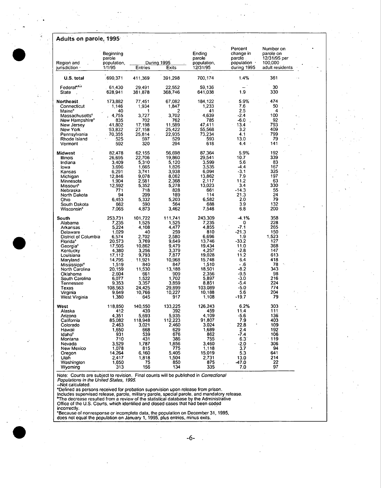| Adults on parole, 1995            |                                              |                   |                      |                                             |                                                              |                                                                      |
|-----------------------------------|----------------------------------------------|-------------------|----------------------|---------------------------------------------|--------------------------------------------------------------|----------------------------------------------------------------------|
| Region and<br>jurisdiction ·      | Beginning<br>parole<br>population,<br>1/1/95 | Entries           | During 1995<br>Exits | Ending<br>parole<br>population,<br>12/31/95 | Percent<br>change in<br>parole.<br>population<br>during 1995 | Number on<br>parole on<br>12/31/95 per<br>100,000<br>adult residents |
| U.S. total                        | .690,371                                     | 411.369           | 391,298              | 700,174                                     | 1.4%                                                         | 361                                                                  |
| Federal <sup>a,b,c</sup><br>State | 61,430<br>628,941                            | 29,491<br>381,878 | 22,552<br>368,746    | 59.136<br>641,038                           | 1.9                                                          | 30<br>330                                                            |
| Northeast                         | 173,882                                      | 77,451            | 67,082               | 184, 122                                    | 5.9%                                                         | 474                                                                  |
| Connecticut                       | 1,146                                        | 1,934             | 1,847                | 1.233                                       | 7.6                                                          | 50                                                                   |
| Maine <sup>c</sup>                | 40                                           | 1                 | 2                    | 41                                          | 2.5                                                          | 4                                                                    |
| <b>Massachusetts</b> <sup>e</sup> | 4.755                                        | 3,727             | 3,702                | 4,639                                       | $-2.4$                                                       | 100                                                                  |
| New Hampshire <sup>e</sup>        | 835                                          | 702               | 762                  | 785                                         | $-6.0$                                                       | 92                                                                   |
| New Jersey                        | 41,802                                       | 17.198            | 11.589               | 47,411                                      | 13.4                                                         | 793                                                                  |
| New York                          | $-53,832$                                    | 27,158            | 25,422               | 55,568                                      | 3.2                                                          | 409                                                                  |
| Pennsylvania                      | 70,355                                       | 25,814            | 22,935               | 73,234                                      | 4.1                                                          | 799                                                                  |
| Rhode Island                      | 525                                          | 597               | 529                  | 593                                         | 13.0                                                         | 79                                                                   |
| Vermont                           | 592                                          | 320               | 294                  | 618                                         | 4:4                                                          | 141                                                                  |
| Midwest                           | 82,478                                       | 62.155            | 56.698               | 87,364                                      | 5.9%                                                         | 192                                                                  |
| Illinois                          | 26,695                                       | 22,706            | 19,860               | 29,541                                      | 10.7                                                         | 339                                                                  |
| Indiana                           | 3.409                                        | 5.310             | 5.120                | 3.599                                       | 5.6                                                          | 83                                                                   |
| lowa                              | 3,696                                        | 1.665             | 1,826                | 3,535                                       | $-4.4$                                                       | 167                                                                  |
| Kansas                            | 6,291                                        | 3.741             | 3.938                | 6,094                                       | $-3.1$                                                       | 325                                                                  |
| Michigan                          | 12,846                                       | 9.078             | 8.062                | 13,862                                      | 7.9                                                          | 197                                                                  |
| Minnesota                         | 1,904                                        | 2.581             | 2,368                | 2.117                                       | 11.2                                                         | 63                                                                   |
| <b>Missouri<sup>e</sup></b>       | 12,592                                       | 5,352             | 5,278                | 13,023                                      | 3.4                                                          | 330                                                                  |
| Nebraska                          | 771                                          | 718               | 828                  | 661                                         | $-14.3$                                                      | 55                                                                   |
| North Dakota                      | 94                                           | 209               | 189                  | 114                                         | 21.3                                                         | 24                                                                   |
| Ohio                              | 6,453                                        | 5,332             | 5.203                | 6,582                                       | 2.0                                                          | 79                                                                   |
| South Dakota                      | 662                                          | 590               | 564                  | 688                                         | 3.9                                                          | 132                                                                  |
| <b>Wisconsin<sup>e</sup></b>      | 7,065                                        | 4,873             | 3,462                | 7,548                                       | 6.8                                                          | 200                                                                  |
| South                             | 253,731                                      | 101,722           | 111,741              | 243,309                                     | $-4.1%$                                                      | 358                                                                  |
| Alabama                           | 7,235                                        | 1,525             | 1,525                | 7,235                                       | 0                                                            | 228                                                                  |
| Arkansas .                        | 5,224                                        | 4,108             | 4,477                | 4.855                                       | $-7.1$                                                       | 265                                                                  |
| Delaware                          | 1.029                                        | 40                | 259                  | 810                                         | $-21.3$                                                      | 150                                                                  |
| District of Columbia              | 6,574                                        | 2.702             | 2.580                | 6,696                                       | 1.9                                                          | 1.523                                                                |
| Florida <sup>e</sup>              | 20,573                                       | 3,769             | 9,649                | 13,746                                      | $-33.2$                                                      | 127                                                                  |
| Georgia <sup>e</sup>              | 17,505                                       | 10.862            | 9,479                | 19.434                                      | 11.0                                                         | 368                                                                  |
| Kentucky                          | 4,380                                        | 3,256             | 3,379                | 4.257                                       | $-2.8$                                                       | 147                                                                  |
| Louisiana                         | 17,112                                       | 9,793             | 7,877                | 19.028                                      | 11.2                                                         | 613                                                                  |
| Maryland                          | 14,795                                       | 11,921            | 10,968               | 15748                                       | 6.4                                                          | 418                                                                  |
| <b>Mississippi<sup>e</sup></b>    | 1,519                                        | 840               | 847                  | 1,510                                       | - .6                                                         | 78                                                                   |
| North Carolina                    | 20,159                                       | 11,530            | 13,188               | 18,501                                      | -8.2                                                         | 343                                                                  |
| Oklahoma                          | 2.604                                        | 661               | 909                  | 2.356                                       | -9.5                                                         | 98                                                                   |
| South Carolina                    | 6,077                                        | 1,522             | 1.702                | 5.897                                       | $-3.0$                                                       | 216                                                                  |
| Tennessee                         | 9,353                                        | 3,357             | 3,859                | 8,851                                       | -5.4                                                         | 224                                                                  |
| Texas                             | 108,563                                      | 24,425            | 29,899               | 103,089                                     | -5.0                                                         | 774                                                                  |
| Virginia                          | 9,649                                        | 10,766            | 10,227               | 10.188                                      | 5.6                                                          | 204                                                                  |
| West Virginia                     | 1,380                                        | 645               | 917                  | 1,108                                       | -19.7                                                        | 79                                                                   |
| West                              | 118,850                                      | 140.550           | 133,225              | 126,243                                     | 6.2%                                                         | 303                                                                  |
| Alaska                            | 412                                          | 439               | 392                  | 459                                         | 11.4                                                         | $111^{\circ}$                                                        |
| Arizona                           | 4,351                                        | 5,693             | 5,935                | 4,109                                       | $-5.6$                                                       | 136                                                                  |
| California                        | 85,082                                       | 118,948           | 112,223              | 91,807                                      | 7.9                                                          | 403                                                                  |
| Colorado                          | 2,463                                        | 3,021             | 2,460                | 3,024                                       | 22.8                                                         | 109                                                                  |
| Hawaii                            | 1,650                                        | 668               | 629                  | 1,689                                       | 2.4                                                          | 192                                                                  |
| Idaho <sup>e</sup>                | 931                                          | 539               | 676                  | 862                                         | $-7.4$                                                       | 106                                                                  |
| Montana                           | 710                                          | 431               | 386                  | 755                                         | $6.3^\circ$                                                  | 119                                                                  |
| Nevada                            | 3,529                                        | 1,787             | 1,856                | 3.460                                       | -2.0                                                         | 306                                                                  |
| <b>New Mexico</b>                 | 1,078                                        | 815               | 775                  | 1,118                                       | 3.7                                                          | 94                                                                   |
| Oregon                            | 14,264                                       | 6,160             | 5,405                | 15,019                                      | 5.3                                                          | 641                                                                  |
| Utah                              | 2,417                                        | 1,818             | 1,504                | 2,731                                       | 13.0                                                         | 214                                                                  |
| Washington                        | 1,650                                        | 75                | 850                  | 875                                         | -47.0                                                        | 22                                                                   |
| Wyoming                           | 313                                          | 156               | 134                  | 335                                         | 7.0                                                          | 97                                                                   |

Note: Counts are subject to revision. Final counts will be published in Correctional<br>Populations in the United States, 1995.<br>--Not calculated.<br>"Defined as persons received for probation supervision upon release from prison

incorrectly.

=Because of nonresponse or incomplete data, the population on December 31, 1996, does not equal the population on January 1, 1995, plus entries, minus exits.



 $\bar{\mathcal{A}}$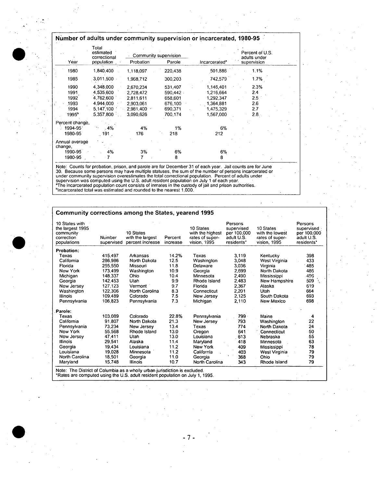## **Number of adults under community supervision or incarcerated, 1980-95**

|                   | Total<br>estimated<br>correctional |           | Community supervision- |                           | Percent of U.S.             |  |
|-------------------|------------------------------------|-----------|------------------------|---------------------------|-----------------------------|--|
| Year              | population                         | Probation | Parole                 | Incarcerated <sup>a</sup> | adults under<br>supervision |  |
| 1980              | 1,840,400                          | 1,118,097 | 220,438                | 501,886                   | 1.1%                        |  |
| 1985              | 3,011,500                          | 1,968.712 | 300,203                | 742,579                   | $1.7\%$                     |  |
| 1990              | 4 348 000                          | 2.670.234 | 531,407                | 1,146,401                 | 2.3%                        |  |
| 1991              | 4.535,600                          | 2,728,472 | 590,442                | 1,216,664                 | 2.4                         |  |
| 1992              | 4 762,600                          | 2.811.611 | 658,601                | 1,292,347                 | $2.5\,$                     |  |
| 1993              | 4.944.000                          | 2.903.061 | 676.100                | 1.364.881                 | 2.6                         |  |
| 1994              | 5,147,100                          | 2.981.400 | 690.371                | 1,475,329                 | 2.7                         |  |
| 1995 <sup>b</sup> | 5.357.800                          | 3.090.626 | 700.174                | 1.567.000                 | 2.8.                        |  |
| Percent change,   |                                    |           |                        |                           |                             |  |
| 1994-951          | 4%                                 | 4%        | 1%                     | 6%                        |                             |  |
| 1980-95           | 191.                               | 176       | 218                    | 212                       |                             |  |
| Annual average    |                                    |           |                        |                           |                             |  |
| change,           |                                    |           |                        |                           |                             |  |
| 1990-95           | 4%                                 | 3%        | 6%                     | 6%                        |                             |  |
| 1980-95           |                                    |           | 8                      | 8                         |                             |  |

Note: Counts for probation, prison, and parole are for December 31 of each year. Jail counts are for June 30. Because some persons may have multiple statuses, the sum of the number of persons incarcerated or under communit

# **Community corrections among the States, yearend 1995**

| 10 States with<br>the largest 1995<br>community<br>correction<br>populations                                                                                | Number<br>supervised | 10 States<br>with the largest<br>percent increase | Percent<br>increase | 10 States<br>with the highest<br>rates of super-<br>vision, 1995 | Persons<br>supervised<br>per 100.000<br>adult U.S.<br>residents* | 10 States<br>with the lowest<br>rates of super-<br>vision, 1995 | Persons<br>supervised<br>per 100.000<br>adult U.S.<br>residents* |
|-------------------------------------------------------------------------------------------------------------------------------------------------------------|----------------------|---------------------------------------------------|---------------------|------------------------------------------------------------------|------------------------------------------------------------------|-----------------------------------------------------------------|------------------------------------------------------------------|
| <b>Probation:</b>                                                                                                                                           |                      |                                                   |                     |                                                                  |                                                                  |                                                                 |                                                                  |
| Texas                                                                                                                                                       | 415.497              | Arkansas                                          | 14.2%               | Texas                                                            | 3.119                                                            | Kentucky                                                        | 398                                                              |
| California                                                                                                                                                  | 286.986              | North Dakota                                      | 12.5                | Washington                                                       | 3,048                                                            | West Virginia                                                   | 433                                                              |
| Florida                                                                                                                                                     | 255.550              | Missouri                                          | 11.8                | Delaware                                                         | 3.036                                                            | Virginia                                                        | 485                                                              |
| New York                                                                                                                                                    | 173.499              | Washington                                        | 10.9                | Georgia                                                          | 2.699                                                            | North Dakota                                                    | 486                                                              |
| Michigan                                                                                                                                                    | 148.337              | Ohio                                              | 104                 | Minnesota                                                        | 2.490                                                            | Mississippi                                                     | -496                                                             |
| Georgia                                                                                                                                                     | 142.453              | Utah                                              | 9.9                 | Rhode Island                                                     | 2.483                                                            | New Hampshire                                                   | 509                                                              |
| New Jersey                                                                                                                                                  | 127,123              | Vermont                                           | 9.7                 | Florida                                                          | 2,367                                                            | Alaska                                                          | 619                                                              |
| Washington                                                                                                                                                  | 122,306              | North Carolina                                    | 8.3                 | Connecticut                                                      | 2,201                                                            | Utah                                                            | 664                                                              |
| Illinois                                                                                                                                                    | 109.489              | Colorado                                          | 7.5                 | New Jersey                                                       | 2,125                                                            | South Dakota                                                    | 693                                                              |
| Pennsylvania                                                                                                                                                | 106,823              | Pennsylvania                                      | 7.3                 | Michigan                                                         | 2.110                                                            | New Mexico                                                      | 698                                                              |
| Parole:                                                                                                                                                     |                      |                                                   |                     |                                                                  |                                                                  |                                                                 |                                                                  |
| Texas                                                                                                                                                       | 103.089              | Colorado                                          | 22.8%               | Pennsylvania                                                     | 799.                                                             | Maine                                                           | 4                                                                |
| California                                                                                                                                                  | 91.807               | North Dakota                                      | 21.3                | New Jersey                                                       | 793                                                              | Washington                                                      | 22                                                               |
| Pennsylvania                                                                                                                                                | 73,234               | New Jersey                                        | 13.4                | Texas                                                            | 774                                                              | North Dakota                                                    | 24                                                               |
| New York                                                                                                                                                    | 55.568               | Rhode Island                                      | 13.0                | Oregon                                                           | 641                                                              | Connecticut                                                     | 50                                                               |
| New Jersey                                                                                                                                                  | 47.411               | Utah                                              | 13.0                | Louisiana                                                        | 613                                                              | Nebraska                                                        | 55                                                               |
| <b>Illinois</b>                                                                                                                                             | 29,541               | Alaska                                            | 11.4                | Maryland                                                         | 418                                                              | Minnesota                                                       | 63                                                               |
| Georgia                                                                                                                                                     | 19,434               | Louisiana                                         | 11.2                | New York                                                         | 409                                                              | Mississippi                                                     | 78                                                               |
| Louisiana                                                                                                                                                   | 19,028               | Minnesota                                         | 11.2                | California                                                       | 403                                                              | West Virginia                                                   | 79                                                               |
| North Carolina                                                                                                                                              | 18,501               | Georgia                                           | 11.0                | Georgia                                                          | 368                                                              | Ohio                                                            | 79                                                               |
| Maryland                                                                                                                                                    | 15,748               | Illinois                                          | 10.7                | North Carolina                                                   | 343                                                              | Rhode Island                                                    | 79                                                               |
| Note: The District of Columbia as a wholly urban jurisdiction is excluded.<br>*Rates are computed using the U.S. adult resident population on July 1, 1995. |                      |                                                   |                     |                                                                  |                                                                  |                                                                 |                                                                  |

**.?-**